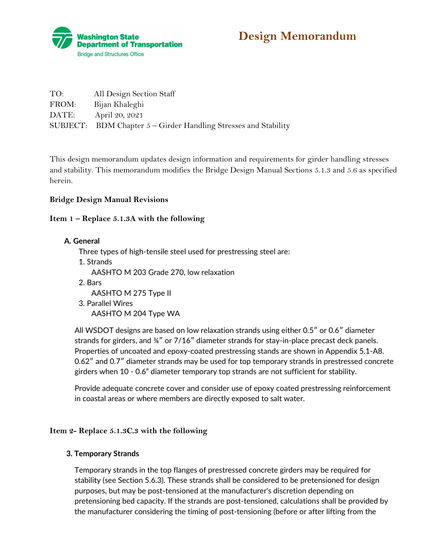

**Design Memorandum** 

| TO:   | All Design Section Staff                                          |
|-------|-------------------------------------------------------------------|
| FROM: | Bijan Khaleghi                                                    |
| DATE: | April 20, 2021                                                    |
|       | SUBJECT: BDM Chapter $5 -$ Girder Handling Stresses and Stability |

This design memorandum updates design information and requirements for girder handling stresses and stability. This memorandum modifies the Bridge Design Manual Sections 5.1.3 and 5.6 as specified herein.

# **Bridge Design Manual Revisions**

# **Item 1 – Replace 5.1.3A with the following**

**A. General**

Three types of high-tensile steel used for prestressing steel are:

1. Strands AASHTO M 203 Grade 270, low relaxation 2. Bars

AASHTO M 275 Type II

3. Parallel Wires AASHTO M 204 Type WA

All WSDOT designs are based on low relaxation strands using either 0.5″ or 0.6″ diameter strands for girders, and <sup>3/4</sup> or 7/16<sup>"</sup> diameter strands for stay-in-place precast deck panels. Properties of uncoated and epoxy-coated prestressing stands are shown in Appendix 5.1-A8. 0.62″ and 0.7″ diameter strands may be used for top temporary strands in prestressed concrete girders when 10 - 0.6" diameter temporary top strands are not sufficient for stability.

Provide adequate concrete cover and consider use of epoxy coated prestressing reinforcement in coastal areas or where members are directly exposed to salt water.

# **Item 2- Replace 5.1.3C.3 with the following**

#### **3. Temporary Strands**

Temporary strands in the top flanges of prestressed concrete girders may be required for stability (see Section 5.6.3). These strands shall be considered to be pretensioned for design purposes, but may be post-tensioned at the manufacturer's discretion depending on pretensioning bed capacity. If the strands are post-tensioned, calculations shall be provided by the manufacturer considering the timing of post-tensioning (before or after lifting from the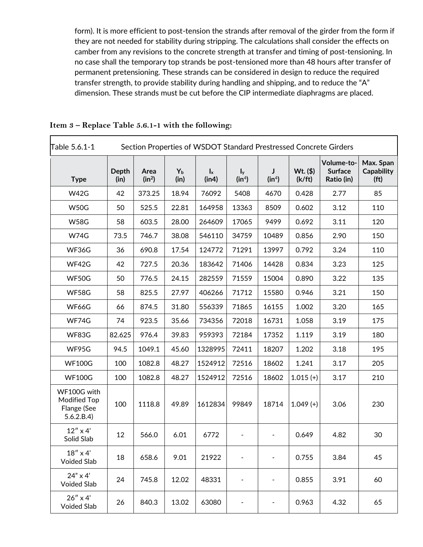form). It is more efficient to post-tension the strands after removal of the girder from the form if they are not needed for stability during stripping. The calculations shall consider the effects on camber from any revisions to the concrete strength at transfer and timing of post-tensioning. In no case shall the temporary top strands be post-tensioned more than 48 hours after transfer of permanent pretensioning. These strands can be considered in design to reduce the required transfer strength, to provide stability during handling and shipping, and to reduce the "A" dimension. These strands must be cut before the CIP intermediate diaphragms are placed.

| Table 5.6.1-1                                            | Section Properties of WSDOT Standard Prestressed Concrete Girders |                  |                 |                                    |                              |                                    |                      |                                            |                                                     |
|----------------------------------------------------------|-------------------------------------------------------------------|------------------|-----------------|------------------------------------|------------------------------|------------------------------------|----------------------|--------------------------------------------|-----------------------------------------------------|
| <b>Type</b>                                              | <b>Depth</b><br>(in)                                              | Area<br>$(in^2)$ | $Y_{b}$<br>(in) | $\mathbf{I}_{\mathbf{x}}$<br>(in4) | $I_y$<br>(in <sup>4</sup> )  | $\mathbf{I}$<br>(in <sup>4</sup> ) | $Wt.$ (\$)<br>(k/ft) | Volume-to-<br><b>Surface</b><br>Ratio (in) | Max. Span<br><b>Capability</b><br>(f <sup>t</sup> ) |
| <b>W42G</b>                                              | 42                                                                | 373.25           | 18.94           | 76092                              | 5408                         | 4670                               | 0.428                | 2.77                                       | 85                                                  |
| <b>W50G</b>                                              | 50                                                                | 525.5            | 22.81           | 164958                             | 13363                        | 8509                               | 0.602                | 3.12                                       | 110                                                 |
| <b>W58G</b>                                              | 58                                                                | 603.5            | 28.00           | 264609                             | 17065                        | 9499                               | 0.692                | 3.11                                       | 120                                                 |
| <b>W74G</b>                                              | 73.5                                                              | 746.7            | 38.08           | 546110                             | 34759                        | 10489                              | 0.856                | 2.90                                       | 150                                                 |
| WF36G                                                    | 36                                                                | 690.8            | 17.54           | 124772                             | 71291                        | 13997                              | 0.792                | 3.24                                       | 110                                                 |
| WF42G                                                    | 42                                                                | 727.5            | 20.36           | 183642                             | 71406                        | 14428                              | 0.834                | 3.23                                       | 125                                                 |
| WF50G                                                    | 50                                                                | 776.5            | 24.15           | 282559                             | 71559                        | 15004                              | 0.890                | 3.22                                       | 135                                                 |
| WF58G                                                    | 58                                                                | 825.5            | 27.97           | 406266                             | 71712                        | 15580                              | 0.946                | 3.21                                       | 150                                                 |
| WF66G                                                    | 66                                                                | 874.5            | 31.80           | 556339                             | 71865                        | 16155                              | 1.002                | 3.20                                       | 165                                                 |
| WF74G                                                    | 74                                                                | 923.5            | 35.66           | 734356                             | 72018                        | 16731                              | 1.058                | 3.19                                       | 175                                                 |
| WF83G                                                    | 82.625                                                            | 976.4            | 39.83           | 959393                             | 72184                        | 17352                              | 1.119                | 3.19                                       | 180                                                 |
| WF95G                                                    | 94.5                                                              | 1049.1           | 45.60           | 1328995                            | 72411                        | 18207                              | 1.202                | 3.18                                       | 195                                                 |
| <b>WF100G</b>                                            | 100                                                               | 1082.8           | 48.27           | 1524912                            | 72516                        | 18602                              | 1.241                | 3.17                                       | 205                                                 |
| <b>WF100G</b>                                            | 100                                                               | 1082.8           | 48.27           | 1524912                            | 72516                        | 18602                              | $1.015 (+)$          | 3.17                                       | 210                                                 |
| WF100G with<br>Modified Top<br>Flange (See<br>5.6.2.B.4) | 100                                                               | 1118.8           | 49.89           | 1612834                            | 99849                        | 18714                              | $1.049 (+)$          | 3.06                                       | 230                                                 |
| $12''$ x 4'<br>Solid Slab                                | 12                                                                | 566.0            | 6.01            | 6772                               | $\qquad \qquad \blacksquare$ | $\blacksquare$                     | 0.649                | 4.82                                       | 30                                                  |
| $18''$ x 4'<br><b>Voided Slab</b>                        | 18                                                                | 658.6            | 9.01            | 21922                              |                              |                                    | 0.755                | 3.84                                       | 45                                                  |
| $24" \times 4'$<br>Voided Slab                           | 24                                                                | 745.8            | 12.02           | 48331                              | -                            |                                    | 0.855                | 3.91                                       | 60                                                  |
| $26'' \times 4'$<br>Voided Slab                          | 26                                                                | 840.3            | 13.02           | 63080                              |                              |                                    | 0.963                | 4.32                                       | 65                                                  |

**Item 3 – Replace Table 5.6.1-1 with the following:**

 $\overline{ }$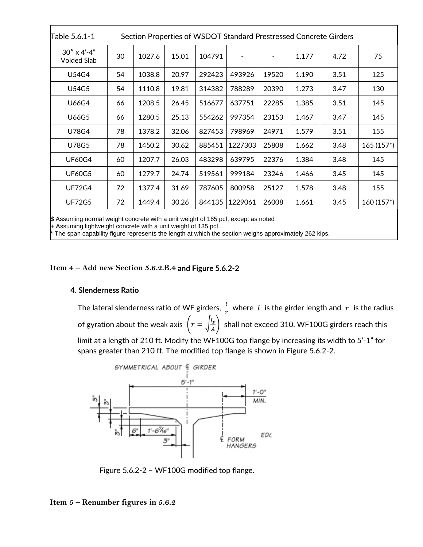| Table 5.6.1-1                                                                     | Section Properties of WSDOT Standard Prestressed Concrete Girders |        |       |        |         |       |       |      |              |
|-----------------------------------------------------------------------------------|-------------------------------------------------------------------|--------|-------|--------|---------|-------|-------|------|--------------|
| $30'' \times 4' - 4''$<br>Voided Slab                                             | 30                                                                | 1027.6 | 15.01 | 104791 |         |       | 1.177 | 4.72 | 75           |
| U54G4                                                                             | 54                                                                | 1038.8 | 20.97 | 292423 | 493926  | 19520 | 1.190 | 3.51 | 125          |
| U54G5                                                                             | 54                                                                | 1110.8 | 19.81 | 314382 | 788289  | 20390 | 1.273 | 3.47 | 130          |
| U66G4                                                                             | 66                                                                | 1208.5 | 26.45 | 516677 | 637751  | 22285 | 1.385 | 3.51 | 145          |
| U66G5                                                                             | 66                                                                | 1280.5 | 25.13 | 554262 | 997354  | 23153 | 1.467 | 3.47 | 145          |
| U78G4                                                                             | 78                                                                | 1378.2 | 32.06 | 827453 | 798969  | 24971 | 1.579 | 3.51 | 155          |
| U78G5                                                                             | 78                                                                | 1450.2 | 30.62 | 885451 | 1227303 | 25808 | 1.662 | 3.48 | $165(157*)$  |
| <b>UF60G4</b>                                                                     | 60                                                                | 1207.7 | 26.03 | 483298 | 639795  | 22376 | 1.384 | 3.48 | 145          |
| <b>UF60G5</b>                                                                     | 60                                                                | 1279.7 | 24.74 | 519561 | 999184  | 23246 | 1.466 | 3.45 | 145          |
| <b>UF72G4</b>                                                                     | 72                                                                | 1377.4 | 31.69 | 787605 | 800958  | 25127 | 1.578 | 3.48 | 155          |
| <b>UF72G5</b>                                                                     | 72                                                                | 1449.4 | 30.26 | 844135 | 1229061 | 26008 | 1.661 | 3.45 | $160(157^*)$ |
| \$ Assuming normal weight concrete with a unit weight of 165 pcf, except as noted |                                                                   |        |       |        |         |       |       |      |              |

+ Assuming lightweight concrete with a unit weight of 135 pcf.

The span capability figure represents the length at which the section weighs approximately 262 kips.

**Item 4 – Add new Section 5.6.2.B.4 and Figure 5.6.2-2**

#### **4. Slenderness Ratio**

The lateral slenderness ratio of WF girders,  $\frac{l}{r}$  where  $\;l\;$  is the girder length and  $\;r\;$  is the radius of gyration about the weak axis  $\left(r=\sqrt{\frac{l_y}{a}}\right)$  $\left(\frac{y}{A}\right)$  shall not exceed 310. WF100G girders reach this

limit at a length of 210 ft. Modify the WF100G top flange by increasing its width to 5'-1" for spans greater than 210 ft. The modified top flange is shown in Figure 5.6.2-2.



Figure 5.6.2-2 – WF100G modified top flange.

# **Item 5 – Renumber figures in 5.6.2**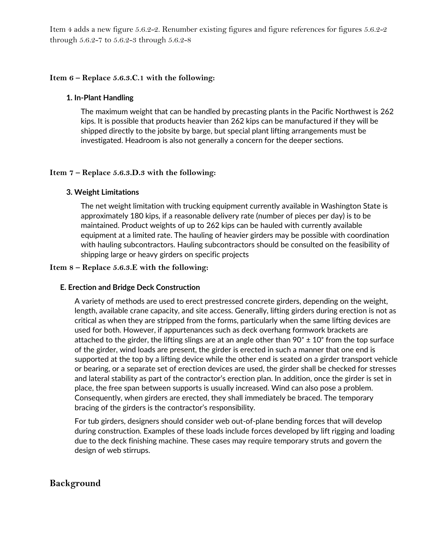Item 4 adds a new figure 5.6.2-2. Renumber existing figures and figure references for figures 5.6.2-2 through 5.6.2-7 to 5.6.2-3 through 5.6.2-8

# **Item 6 – Replace 5.6.3.C.1 with the following:**

#### **1. In-Plant Handling**

The maximum weight that can be handled by precasting plants in the Pacific Northwest is 262 kips. It is possible that products heavier than 262 kips can be manufactured if they will be shipped directly to the jobsite by barge, but special plant lifting arrangements must be investigated. Headroom is also not generally a concern for the deeper sections.

### **Item 7 – Replace 5.6.3.D.3 with the following:**

### **3. Weight Limitations**

The net weight limitation with trucking equipment currently available in Washington State is approximately 180 kips, if a reasonable delivery rate (number of pieces per day) is to be maintained. Product weights of up to 262 kips can be hauled with currently available equipment at a limited rate. The hauling of heavier girders may be possible with coordination with hauling subcontractors. Hauling subcontractors should be consulted on the feasibility of shipping large or heavy girders on specific projects

### **Item 8 – Replace 5.6.3.E with the following:**

# **E. Erection and Bridge Deck Construction**

A variety of methods are used to erect prestressed concrete girders, depending on the weight, length, available crane capacity, and site access. Generally, lifting girders during erection is not as critical as when they are stripped from the forms, particularly when the same lifting devices are used for both. However, if appurtenances such as deck overhang formwork brackets are attached to the girder, the lifting slings are at an angle other than  $90^{\circ} \pm 10^{\circ}$  from the top surface of the girder, wind loads are present, the girder is erected in such a manner that one end is supported at the top by a lifting device while the other end is seated on a girder transport vehicle or bearing, or a separate set of erection devices are used, the girder shall be checked for stresses and lateral stability as part of the contractor's erection plan. In addition, once the girder is set in place, the free span between supports is usually increased. Wind can also pose a problem. Consequently, when girders are erected, they shall immediately be braced. The temporary bracing of the girders is the contractor's responsibility.

For tub girders, designers should consider web out-of-plane bending forces that will develop during construction. Examples of these loads include forces developed by lift rigging and loading due to the deck finishing machine. These cases may require temporary struts and govern the design of web stirrups.

# **Background**